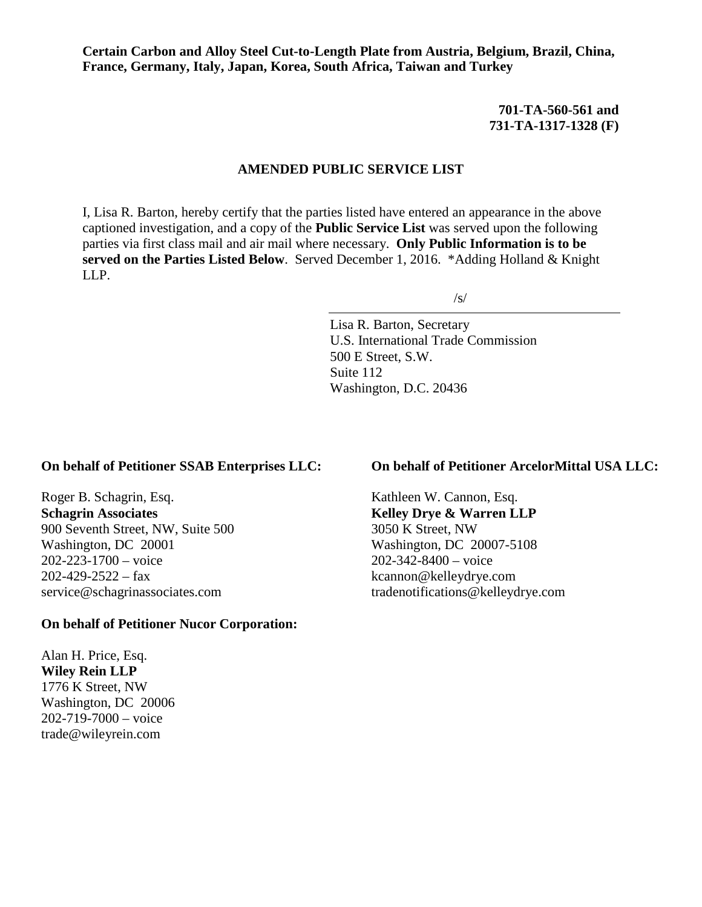**Certain Carbon and Alloy Steel Cut-to-Length Plate from Austria, Belgium, Brazil, China, France, Germany, Italy, Japan, Korea, South Africa, Taiwan and Turkey**

> **701-TA-560-561 and 731-TA-1317-1328 (F)**

## **AMENDED PUBLIC SERVICE LIST**

I, Lisa R. Barton, hereby certify that the parties listed have entered an appearance in the above captioned investigation, and a copy of the **Public Service List** was served upon the following parties via first class mail and air mail where necessary. **Only Public Information is to be served on the Parties Listed Below**. Served December 1, 2016. \*Adding Holland & Knight LLP.

/s/

Lisa R. Barton, Secretary U.S. International Trade Commission 500 E Street, S.W. Suite 112 Washington, D.C. 20436

## **On behalf of Petitioner SSAB Enterprises LLC:**

Roger B. Schagrin, Esq. **Schagrin Associates** 900 Seventh Street, NW, Suite 500 Washington, DC 20001 202-223-1700 – voice  $202-429-2522 - fax$ service@schagrinassociates.com

## **On behalf of Petitioner Nucor Corporation:**

Alan H. Price, Esq. **Wiley Rein LLP** 1776 K Street, NW Washington, DC 20006 202-719-7000 – voice trade@wileyrein.com

# **On behalf of Petitioner ArcelorMittal USA LLC:**

Kathleen W. Cannon, Esq. **Kelley Drye & Warren LLP** 3050 K Street, NW Washington, DC 20007-5108 202-342-8400 – voice kcannon@kelleydrye.com tradenotifications@kelleydrye.com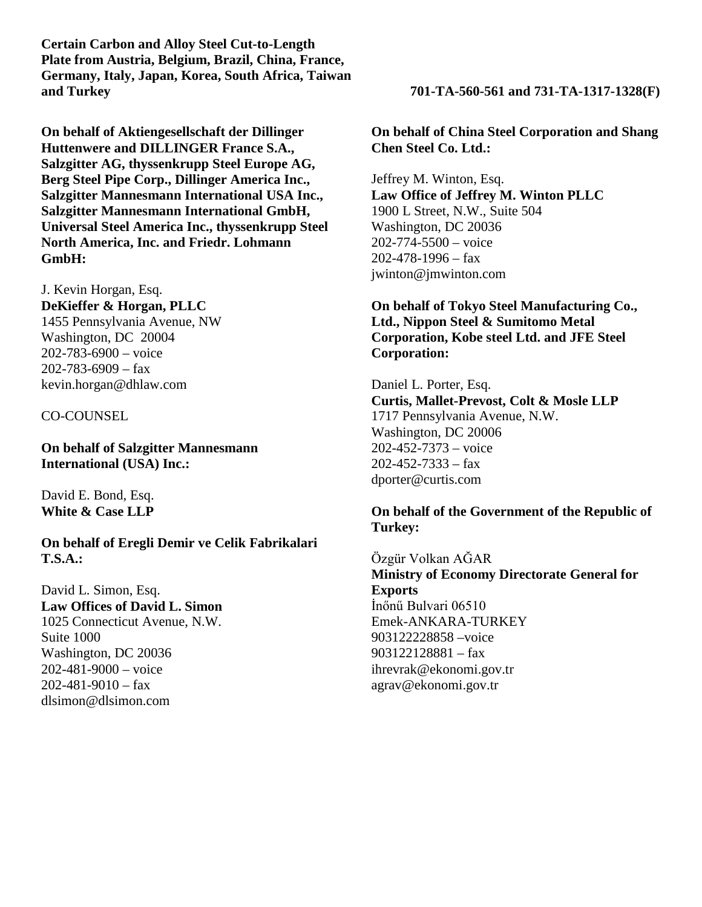**Certain Carbon and Alloy Steel Cut-to-Length Plate from Austria, Belgium, Brazil, China, France, Germany, Italy, Japan, Korea, South Africa, Taiwan and Turkey 701-TA-560-561 and 731-TA-1317-1328(F)**

**On behalf of Aktiengesellschaft der Dillinger Huttenwere and DILLINGER France S.A., Salzgitter AG, thyssenkrupp Steel Europe AG, Berg Steel Pipe Corp., Dillinger America Inc., Salzgitter Mannesmann International USA Inc., Salzgitter Mannesmann International GmbH, Universal Steel America Inc., thyssenkrupp Steel North America, Inc. and Friedr. Lohmann GmbH:**

J. Kevin Horgan, Esq. **DeKieffer & Horgan, PLLC** 1455 Pennsylvania Avenue, NW Washington, DC 20004 202-783-6900 – voice  $202 - 783 - 6909 - fax$ kevin.horgan@dhlaw.com

## CO-COUNSEL

**On behalf of Salzgitter Mannesmann International (USA) Inc.:**

David E. Bond, Esq. **White & Case LLP**

**On behalf of Eregli Demir ve Celik Fabrikalari T.S.A.:**

David L. Simon, Esq. **Law Offices of David L. Simon** 1025 Connecticut Avenue, N.W. Suite 1000 Washington, DC 20036 202-481-9000 – voice 202-481-9010 – fax dlsimon@dlsimon.com

**On behalf of China Steel Corporation and Shang Chen Steel Co. Ltd.:**

Jeffrey M. Winton, Esq. **Law Office of Jeffrey M. Winton PLLC** 1900 L Street, N.W., Suite 504 Washington, DC 20036 202-774-5500 – voice 202-478-1996 – fax jwinton@jmwinton.com

# **On behalf of Tokyo Steel Manufacturing Co., Ltd., Nippon Steel & Sumitomo Metal Corporation, Kobe steel Ltd. and JFE Steel Corporation:**

Daniel L. Porter, Esq. **Curtis, Mallet-Prevost, Colt & Mosle LLP** 1717 Pennsylvania Avenue, N.W. Washington, DC 20006 202-452-7373 – voice  $202 - 452 - 7333 - fax$ dporter@curtis.com

# **On behalf of the Government of the Republic of Turkey:**

Özgür Volkan AĞAR **Ministry of Economy Directorate General for Exports** İnőnű Bulvari 06510 Emek-ANKARA-TURKEY 903122228858 –voice 903122128881 – fax ihrevrak@ekonomi.gov.tr agrav@ekonomi.gov.tr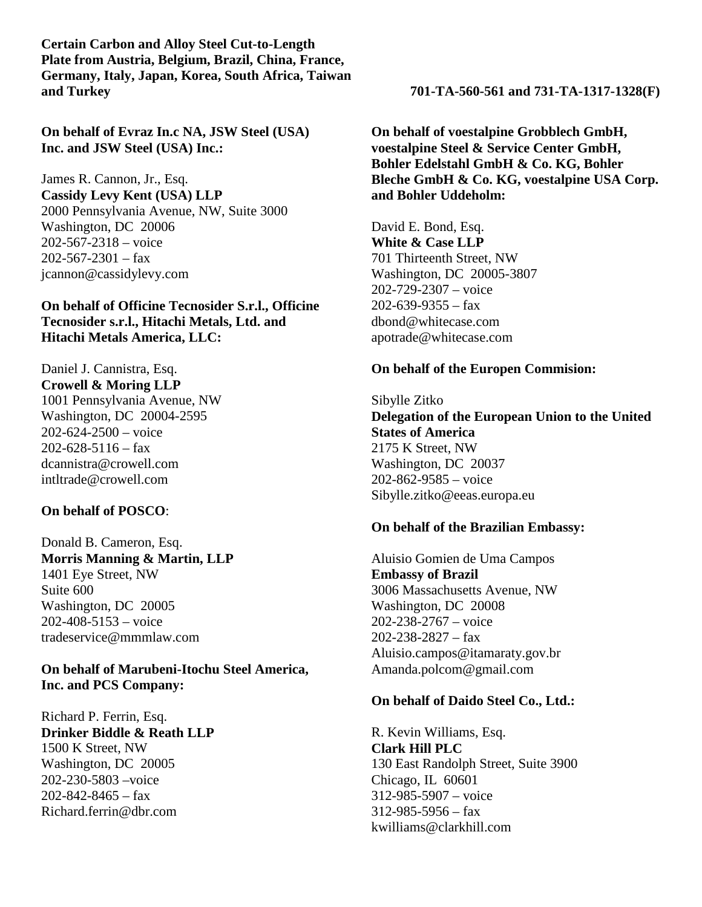**Certain Carbon and Alloy Steel Cut-to-Length Plate from Austria, Belgium, Brazil, China, France, Germany, Italy, Japan, Korea, South Africa, Taiwan and Turkey 701-TA-560-561 and 731-TA-1317-1328(F)**

**On behalf of Evraz In.c NA, JSW Steel (USA) Inc. and JSW Steel (USA) Inc.:**

James R. Cannon, Jr., Esq. **Cassidy Levy Kent (USA) LLP** 2000 Pennsylvania Avenue, NW, Suite 3000 Washington, DC 20006 202-567-2318 – voice  $202 - 567 - 2301 - fax$ jcannon@cassidylevy.com

**On behalf of Officine Tecnosider S.r.l., Officine Tecnosider s.r.l., Hitachi Metals, Ltd. and Hitachi Metals America, LLC:**

Daniel J. Cannistra, Esq. **Crowell & Moring LLP** 1001 Pennsylvania Avenue, NW Washington, DC 20004-2595  $202 - 624 - 2500 - \text{voice}$  $202 - 628 - 5116 - \text{tax}$ dcannistra@crowell.com intltrade@crowell.com

## **On behalf of POSCO**:

Donald B. Cameron, Esq. **Morris Manning & Martin, LLP** 1401 Eye Street, NW Suite 600 Washington, DC 20005 202-408-5153 – voice tradeservice@mmmlaw.com

**On behalf of Marubeni-Itochu Steel America, Inc. and PCS Company:**

Richard P. Ferrin, Esq. **Drinker Biddle & Reath LLP** 1500 K Street, NW Washington, DC 20005 202-230-5803 –voice  $202 - 842 - 8465 - fax$ Richard.ferrin@dbr.com

**On behalf of voestalpine Grobblech GmbH, voestalpine Steel & Service Center GmbH, Bohler Edelstahl GmbH & Co. KG, Bohler Bleche GmbH & Co. KG, voestalpine USA Corp. and Bohler Uddeholm:**

David E. Bond, Esq. **White & Case LLP** 701 Thirteenth Street, NW Washington, DC 20005-3807 202-729-2307 – voice  $202 - 639 - 9355 - fax$ dbond@whitecase.com apotrade@whitecase.com

## **On behalf of the Europen Commision:**

Sibylle Zitko **Delegation of the European Union to the United States of America** 2175 K Street, NW Washington, DC 20037 202-862-9585 – voice Sibylle.zitko@eeas.europa.eu

## **On behalf of the Brazilian Embassy:**

Aluisio Gomien de Uma Campos **Embassy of Brazil** 3006 Massachusetts Avenue, NW Washington, DC 20008 202-238-2767 – voice 202-238-2827 – fax Aluisio.campos@itamaraty.gov.br Amanda.polcom@gmail.com

#### **On behalf of Daido Steel Co., Ltd.:**

R. Kevin Williams, Esq. **Clark Hill PLC** 130 East Randolph Street, Suite 3900 Chicago, IL 60601 312-985-5907 – voice 312-985-5956 – fax kwilliams@clarkhill.com